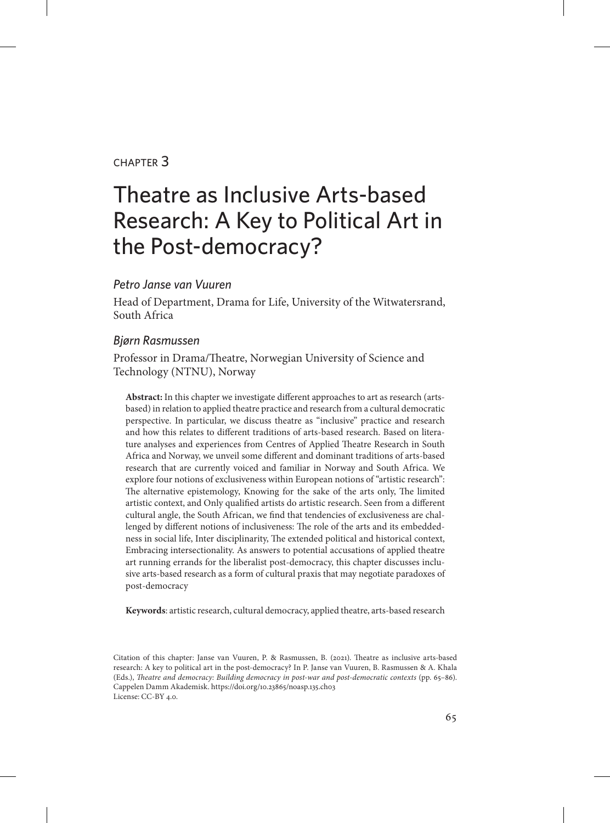#### chapter 3

# Theatre as Inclusive Arts-based Research: A Key to Political Art in the Post-democracy?

#### *Petro Janse van Vuuren*

Head of Department, Drama for Life, University of the Witwatersrand, South Africa

#### *Bjørn Rasmussen*

Professor in Drama/Theatre, Norwegian University of Science and Technology (NTNU), Norway

**Abstract:** In this chapter we investigate different approaches to art as research (artsbased) in relation to applied theatre practice and research from a cultural democratic perspective. In particular, we discuss theatre as "inclusive" practice and research and how this relates to different traditions of arts-based research. Based on literature analyses and experiences from Centres of Applied Theatre Research in South Africa and Norway, we unveil some different and dominant traditions of arts-based research that are currently voiced and familiar in Norway and South Africa. We explore four notions of exclusiveness within European notions of "artistic research": The alternative epistemology, Knowing for the sake of the arts only, The limited artistic context, and Only qualified artists do artistic research. Seen from a different cultural angle, the South African, we find that tendencies of exclusiveness are challenged by different notions of inclusiveness: The role of the arts and its embeddedness in social life, Inter disciplinarity, The extended political and historical context, Embracing intersectionality. As answers to potential accusations of applied theatre art running errands for the liberalist post-democracy, this chapter discusses inclusive arts-based research as a form of cultural praxis that may negotiate paradoxes of post-democracy

**Keywords**: artistic research, cultural democracy, applied theatre, arts-based research

Citation of this chapter: Janse van Vuuren, P. & Rasmussen, B. (2021). Theatre as inclusive arts-based research: A key to political art in the post-democracy? In P. Janse van Vuuren, B. Rasmussen & A. Khala (Eds.), *Theatre and democracy: Building democracy in post-war and post-democratic contexts* (pp. 65–86). Cappelen Damm Akademisk. https://doi.org/10.23865/noasp.135.ch03 License: CC-BY 4.0.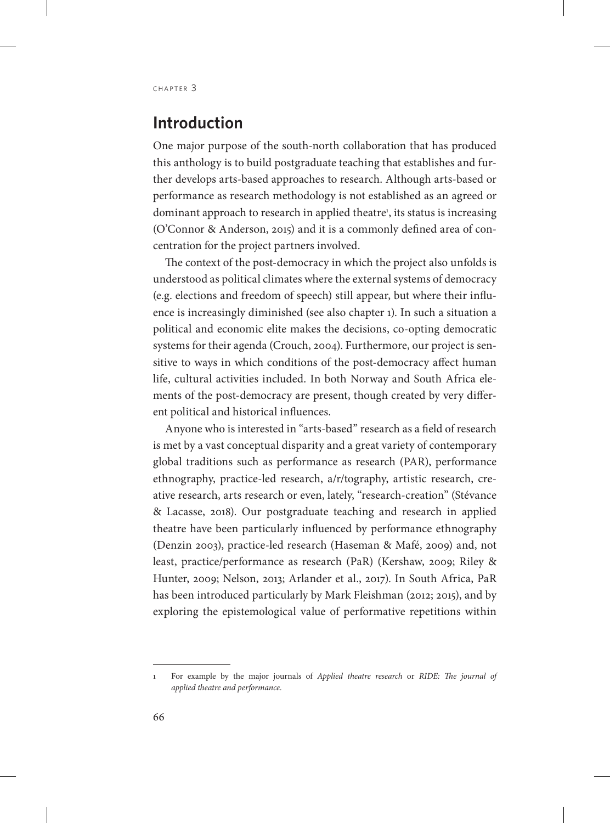# **Introduction**

One major purpose of the south-north collaboration that has produced this anthology is to build postgraduate teaching that establishes and further develops arts-based approaches to research. Although arts-based or performance as research methodology is not established as an agreed or dominant approach to research in applied theatre<sup>1</sup>, its status is increasing (O'Connor & Anderson, 2015) and it is a commonly defined area of concentration for the project partners involved.

The context of the post-democracy in which the project also unfolds is understood as political climates where the external systems of democracy (e.g. elections and freedom of speech) still appear, but where their influence is increasingly diminished (see also chapter 1). In such a situation a political and economic elite makes the decisions, co-opting democratic systems for their agenda (Crouch, 2004). Furthermore, our project is sensitive to ways in which conditions of the post-democracy affect human life, cultural activities included. In both Norway and South Africa elements of the post-democracy are present, though created by very different political and historical influences.

Anyone who is interested in "arts-based" research as a field of research is met by a vast conceptual disparity and a great variety of contemporary global traditions such as performance as research (PAR), performance ethnography, practice-led research, a/r/tography, artistic research, creative research, arts research or even, lately, "research-creation" (Stévance & Lacasse, 2018). Our postgraduate teaching and research in applied theatre have been particularly influenced by performance ethnography (Denzin 2003), practice-led research (Haseman & Mafé, 2009) and, not least, practice/performance as research (PaR) (Kershaw, 2009; Riley & Hunter, 2009; Nelson, 2013; Arlander et al., 2017). In South Africa, PaR has been introduced particularly by Mark Fleishman (2012; 2015), and by exploring the epistemological value of performative repetitions within

<sup>1</sup> For example by the major journals of *Applied theatre research* or *RIDE: The journal of applied theatre and performance*.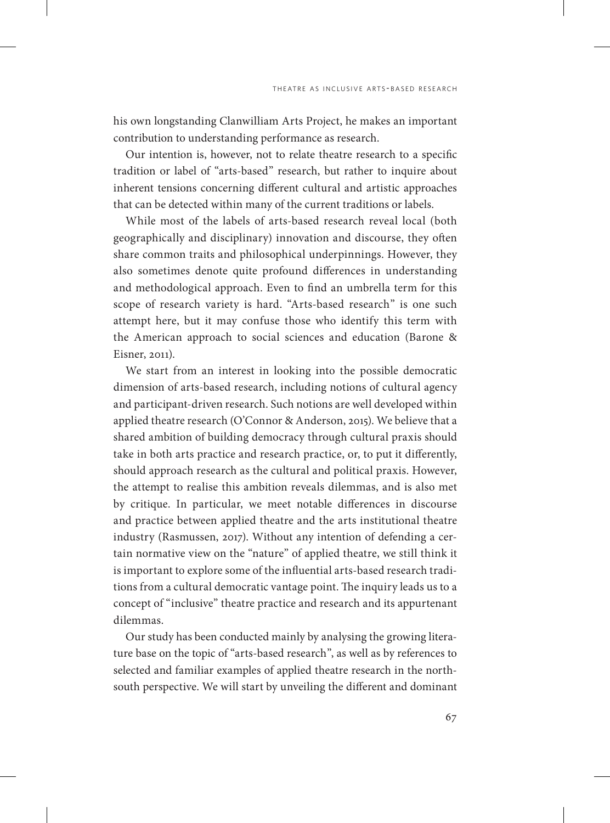his own longstanding Clanwilliam Arts Project, he makes an important contribution to understanding performance as research.

Our intention is, however, not to relate theatre research to a specific tradition or label of "arts-based" research, but rather to inquire about inherent tensions concerning different cultural and artistic approaches that can be detected within many of the current traditions or labels.

While most of the labels of arts-based research reveal local (both geographically and disciplinary) innovation and discourse, they often share common traits and philosophical underpinnings. However, they also sometimes denote quite profound differences in understanding and methodological approach. Even to find an umbrella term for this scope of research variety is hard. "Arts-based research" is one such attempt here, but it may confuse those who identify this term with the American approach to social sciences and education (Barone & Eisner, 2011).

We start from an interest in looking into the possible democratic dimension of arts-based research, including notions of cultural agency and participant-driven research. Such notions are well developed within applied theatre research (O'Connor & Anderson, 2015). We believe that a shared ambition of building democracy through cultural praxis should take in both arts practice and research practice, or, to put it differently, should approach research as the cultural and political praxis. However, the attempt to realise this ambition reveals dilemmas, and is also met by critique. In particular, we meet notable differences in discourse and practice between applied theatre and the arts institutional theatre industry (Rasmussen, 2017). Without any intention of defending a certain normative view on the "nature" of applied theatre, we still think it is important to explore some of the influential arts-based research traditions from a cultural democratic vantage point. The inquiry leads us to a concept of "inclusive" theatre practice and research and its appurtenant dilemmas.

Our study has been conducted mainly by analysing the growing literature base on the topic of "arts-based research", as well as by references to selected and familiar examples of applied theatre research in the northsouth perspective. We will start by unveiling the different and dominant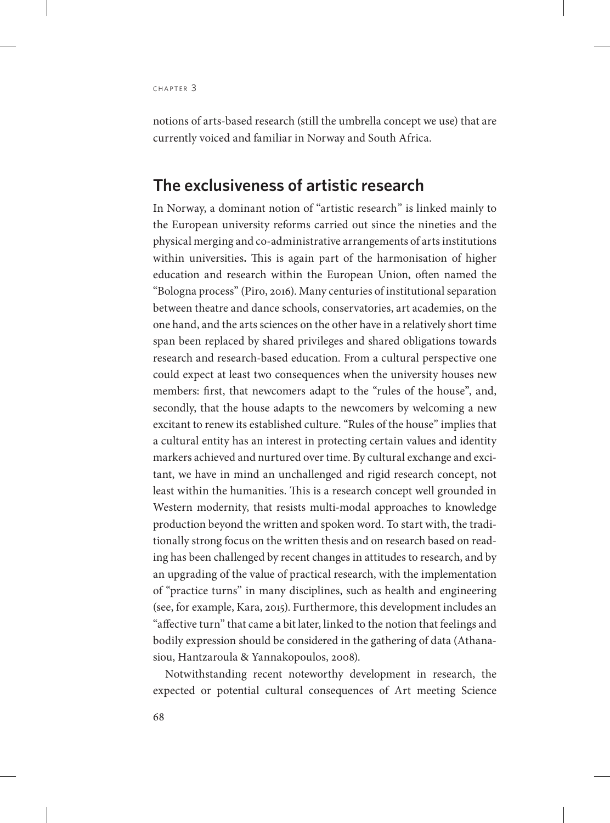notions of arts-based research (still the umbrella concept we use) that are currently voiced and familiar in Norway and South Africa.

#### **The exclusiveness of artistic research**

In Norway, a dominant notion of "artistic research" is linked mainly to the European university reforms carried out since the nineties and the physical merging and co-administrative arrangements of arts institutions within universities**.** This is again part of the harmonisation of higher education and research within the European Union, often named the "Bologna process" (Piro, 2016). Many centuries of institutional separation between theatre and dance schools, conservatories, art academies, on the one hand, and the arts sciences on the other have in a relatively short time span been replaced by shared privileges and shared obligations towards research and research-based education. From a cultural perspective one could expect at least two consequences when the university houses new members: first, that newcomers adapt to the "rules of the house", and, secondly, that the house adapts to the newcomers by welcoming a new excitant to renew its established culture. "Rules of the house" implies that a cultural entity has an interest in protecting certain values and identity markers achieved and nurtured over time. By cultural exchange and excitant, we have in mind an unchallenged and rigid research concept, not least within the humanities. This is a research concept well grounded in Western modernity, that resists multi-modal approaches to knowledge production beyond the written and spoken word. To start with, the traditionally strong focus on the written thesis and on research based on reading has been challenged by recent changes in attitudes to research, and by an upgrading of the value of practical research, with the implementation of "practice turns" in many disciplines, such as health and engineering (see, for example, Kara, 2015). Furthermore, this development includes an "affective turn" that came a bit later, linked to the notion that feelings and bodily expression should be considered in the gathering of data (Athanasiou, Hantzaroula & Yannakopoulos, 2008).

Notwithstanding recent noteworthy development in research, the expected or potential cultural consequences of Art meeting Science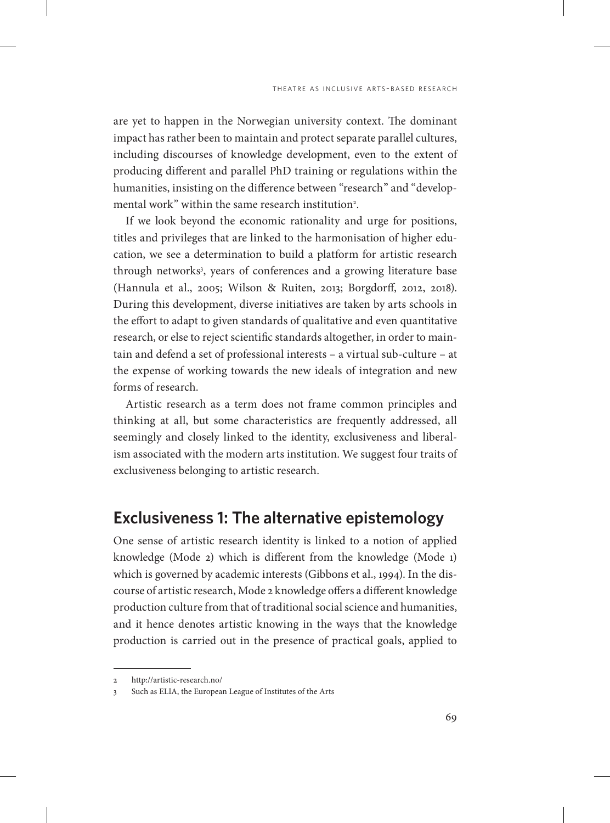are yet to happen in the Norwegian university context. The dominant impact has rather been to maintain and protect separate parallel cultures, including discourses of knowledge development, even to the extent of producing different and parallel PhD training or regulations within the humanities, insisting on the difference between "research" and "developmental work" within the same research institution<sup>2</sup>.

If we look beyond the economic rationality and urge for positions, titles and privileges that are linked to the harmonisation of higher education, we see a determination to build a platform for artistic research through networks<sup>3</sup>, years of conferences and a growing literature base (Hannula et al., 2005; Wilson & Ruiten, 2013; Borgdorff, 2012, 2018). During this development, diverse initiatives are taken by arts schools in the effort to adapt to given standards of qualitative and even quantitative research, or else to reject scientific standards altogether, in order to maintain and defend a set of professional interests – a virtual sub-culture – at the expense of working towards the new ideals of integration and new forms of research.

Artistic research as a term does not frame common principles and thinking at all, but some characteristics are frequently addressed, all seemingly and closely linked to the identity, exclusiveness and liberalism associated with the modern arts institution. We suggest four traits of exclusiveness belonging to artistic research.

#### **Exclusiveness 1: The alternative epistemology**

One sense of artistic research identity is linked to a notion of applied knowledge (Mode 2) which is different from the knowledge (Mode 1) which is governed by academic interests (Gibbons et al., 1994). In the discourse of artistic research, Mode 2 knowledge offers a different knowledge production culture from that of traditional social science and humanities, and it hence denotes artistic knowing in the ways that the knowledge production is carried out in the presence of practical goals, applied to

<sup>2</sup> http://artistic-research.no/

<sup>3</sup> Such as ELIA, the European League of Institutes of the Arts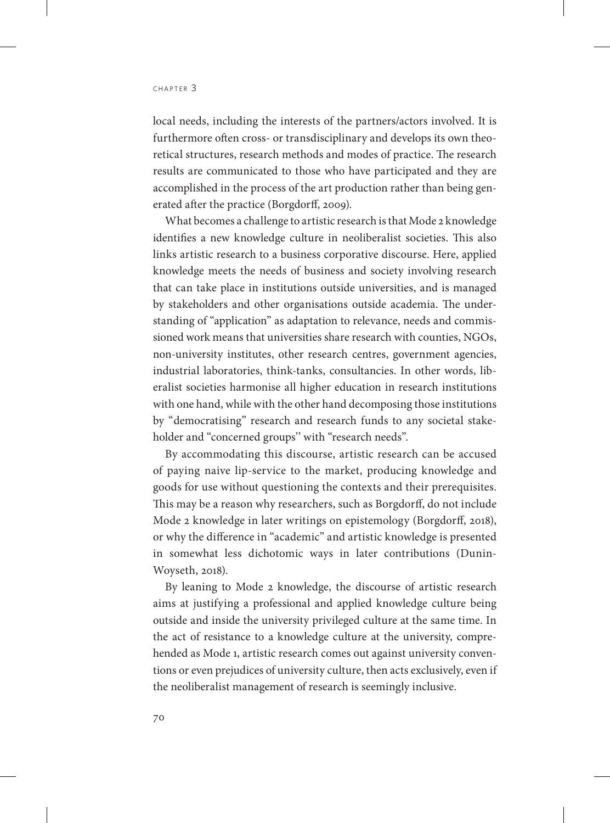local needs, including the interests of the partners/actors involved. It is furthermore often cross- or transdisciplinary and develops its own theoretical structures, research methods and modes of practice. The research results are communicated to those who have participated and they are accomplished in the process of the art production rather than being generated after the practice (Borgdorff, 2009).

What becomes a challenge to artistic research is that Mode 2 knowledge identifies a new knowledge culture in neoliberalist societies. This also links artistic research to a business corporative discourse. Here, applied knowledge meets the needs of business and society involving research that can take place in institutions outside universities, and is managed by stakeholders and other organisations outside academia. The understanding of "application" as adaptation to relevance, needs and commissioned work means that universities share research with counties, NGOs, non-university institutes, other research centres, government agencies, industrial laboratories, think-tanks, consultancies. In other words, liberalist societies harmonise all higher education in research institutions with one hand, while with the other hand decomposing those institutions by "democratising" research and research funds to any societal stakeholder and "concerned groups'' with "research needs".

By accommodating this discourse, artistic research can be accused of paying naive lip-service to the market, producing knowledge and goods for use without questioning the contexts and their prerequisites. This may be a reason why researchers, such as Borgdorff, do not include Mode 2 knowledge in later writings on epistemology (Borgdorff, 2018), or why the difference in "academic" and artistic knowledge is presented in somewhat less dichotomic ways in later contributions (Dunin-Woyseth, 2018).

By leaning to Mode 2 knowledge, the discourse of artistic research aims at justifying a professional and applied knowledge culture being outside and inside the university privileged culture at the same time. In the act of resistance to a knowledge culture at the university, comprehended as Mode 1, artistic research comes out against university conventions or even prejudices of university culture, then acts exclusively, even if the neoliberalist management of research is seemingly inclusive.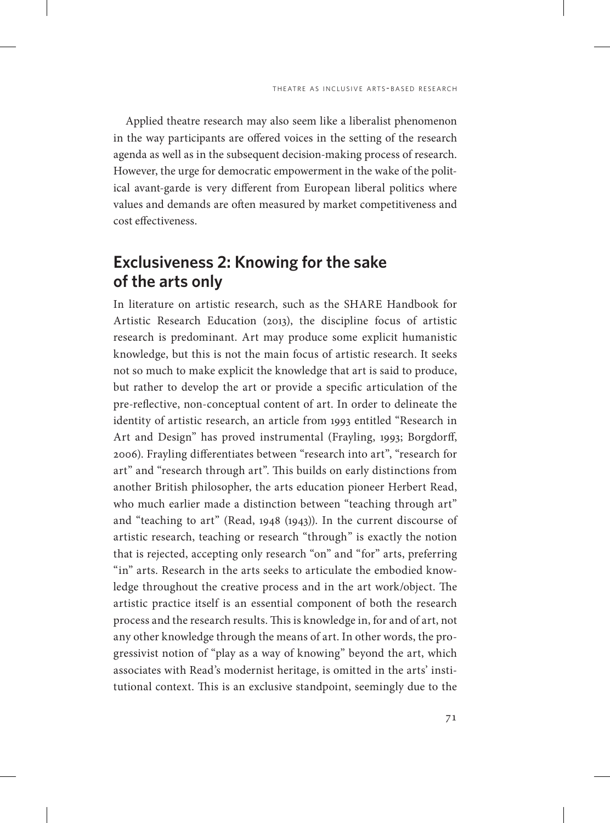Applied theatre research may also seem like a liberalist phenomenon in the way participants are offered voices in the setting of the research agenda as well as in the subsequent decision-making process of research. However, the urge for democratic empowerment in the wake of the political avant-garde is very different from European liberal politics where values and demands are often measured by market competitiveness and cost effectiveness.

# **Exclusiveness 2: Knowing for the sake of the arts only**

In literature on artistic research, such as the SHARE Handbook for Artistic Research Education (2013), the discipline focus of artistic research is predominant. Art may produce some explicit humanistic knowledge, but this is not the main focus of artistic research. It seeks not so much to make explicit the knowledge that art is said to produce, but rather to develop the art or provide a specific articulation of the pre-reflective, non-conceptual content of art. In order to delineate the identity of artistic research, an article from 1993 entitled "Research in Art and Design" has proved instrumental (Frayling, 1993; Borgdorff, 2006). Frayling differentiates between "research into art", "research for art" and "research through art". This builds on early distinctions from another British philosopher, the arts education pioneer Herbert Read, who much earlier made a distinction between "teaching through art" and "teaching to art" (Read, 1948 (1943)). In the current discourse of artistic research, teaching or research "through" is exactly the notion that is rejected, accepting only research "on" and "for" arts, preferring "in" arts. Research in the arts seeks to articulate the embodied knowledge throughout the creative process and in the art work/object. The artistic practice itself is an essential component of both the research process and the research results. This is knowledge in, for and of art, not any other knowledge through the means of art. In other words, the progressivist notion of "play as a way of knowing" beyond the art, which associates with Read's modernist heritage, is omitted in the arts' institutional context. This is an exclusive standpoint, seemingly due to the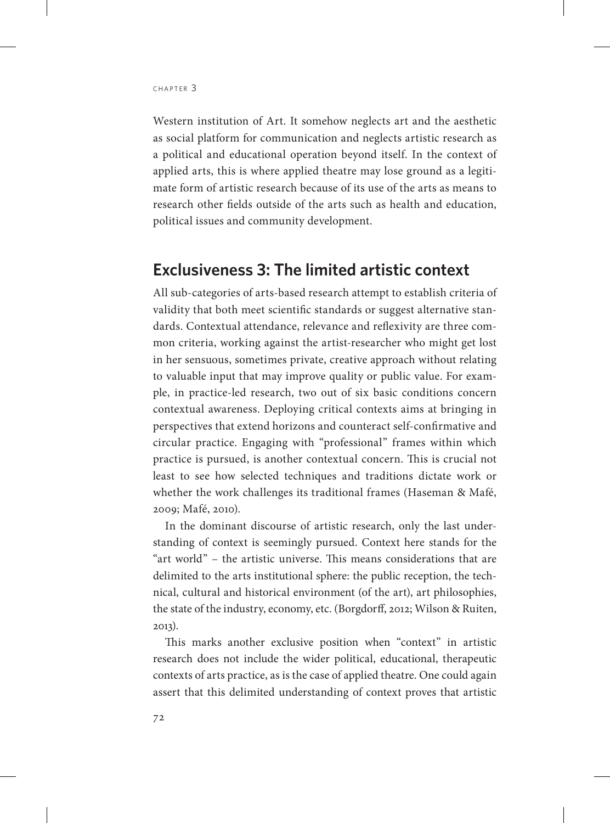Western institution of Art. It somehow neglects art and the aesthetic as social platform for communication and neglects artistic research as a political and educational operation beyond itself. In the context of applied arts, this is where applied theatre may lose ground as a legitimate form of artistic research because of its use of the arts as means to research other fields outside of the arts such as health and education, political issues and community development.

#### **Exclusiveness 3: The limited artistic context**

All sub-categories of arts-based research attempt to establish criteria of validity that both meet scientific standards or suggest alternative standards. Contextual attendance, relevance and reflexivity are three common criteria, working against the artist-researcher who might get lost in her sensuous, sometimes private, creative approach without relating to valuable input that may improve quality or public value. For example, in practice-led research, two out of six basic conditions concern contextual awareness. Deploying critical contexts aims at bringing in perspectives that extend horizons and counteract self-confirmative and circular practice. Engaging with "professional" frames within which practice is pursued, is another contextual concern. This is crucial not least to see how selected techniques and traditions dictate work or whether the work challenges its traditional frames (Haseman & Mafé, 2009; Mafé, 2010).

In the dominant discourse of artistic research, only the last understanding of context is seemingly pursued. Context here stands for the "art world" – the artistic universe. This means considerations that are delimited to the arts institutional sphere: the public reception, the technical, cultural and historical environment (of the art), art philosophies, the state of the industry, economy, etc. (Borgdorff, 2012; Wilson & Ruiten, 2013).

This marks another exclusive position when "context" in artistic research does not include the wider political, educational, therapeutic contexts of arts practice, as is the case of applied theatre. One could again assert that this delimited understanding of context proves that artistic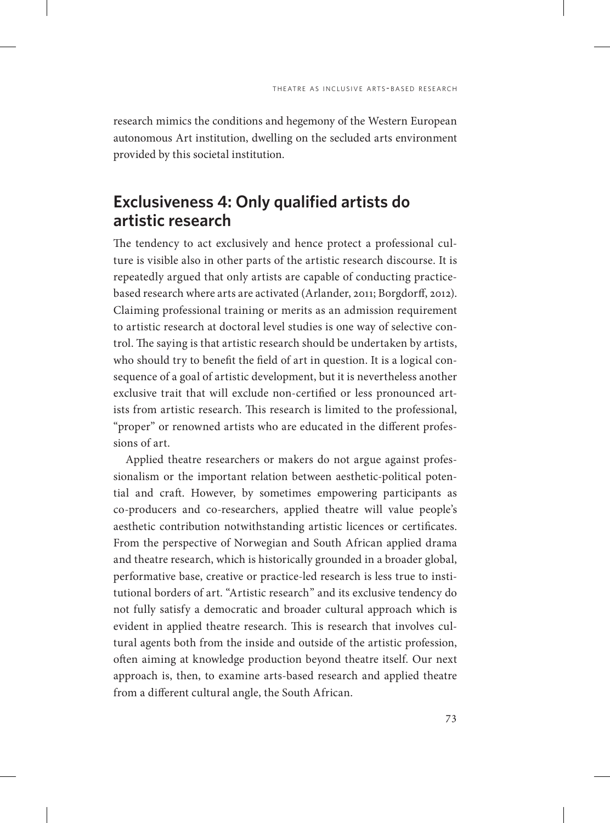research mimics the conditions and hegemony of the Western European autonomous Art institution, dwelling on the secluded arts environment provided by this societal institution.

# **Exclusiveness 4: Only qualified artists do artistic research**

The tendency to act exclusively and hence protect a professional culture is visible also in other parts of the artistic research discourse. It is repeatedly argued that only artists are capable of conducting practicebased research where arts are activated (Arlander, 2011; Borgdorff, 2012). Claiming professional training or merits as an admission requirement to artistic research at doctoral level studies is one way of selective control. The saying is that artistic research should be undertaken by artists, who should try to benefit the field of art in question. It is a logical consequence of a goal of artistic development, but it is nevertheless another exclusive trait that will exclude non-certified or less pronounced artists from artistic research. This research is limited to the professional, "proper" or renowned artists who are educated in the different professions of art.

Applied theatre researchers or makers do not argue against professionalism or the important relation between aesthetic-political potential and craft. However, by sometimes empowering participants as co-producers and co-researchers, applied theatre will value people's aesthetic contribution notwithstanding artistic licences or certificates. From the perspective of Norwegian and South African applied drama and theatre research, which is historically grounded in a broader global, performative base, creative or practice-led research is less true to institutional borders of art. "Artistic research" and its exclusive tendency do not fully satisfy a democratic and broader cultural approach which is evident in applied theatre research. This is research that involves cultural agents both from the inside and outside of the artistic profession, often aiming at knowledge production beyond theatre itself. Our next approach is, then, to examine arts-based research and applied theatre from a different cultural angle, the South African.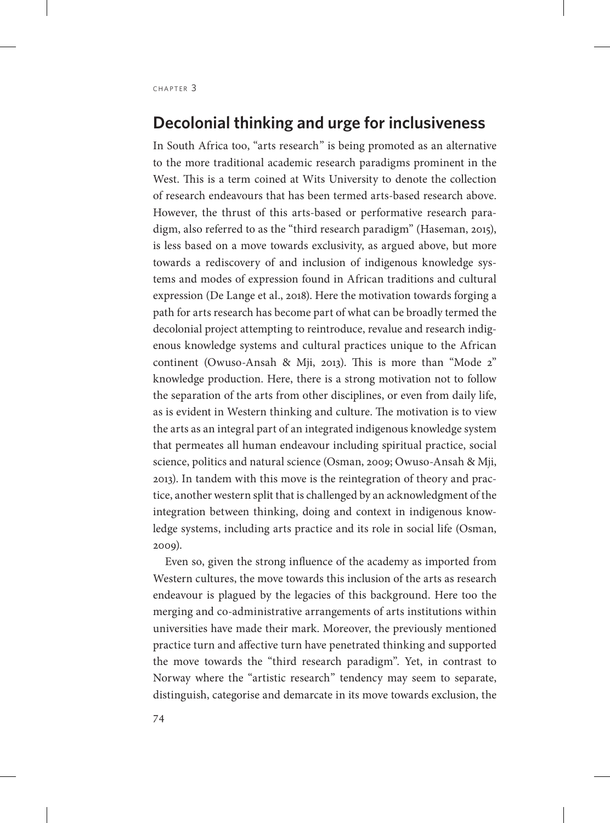## **Decolonial thinking and urge for inclusiveness**

In South Africa too, "arts research" is being promoted as an alternative to the more traditional academic research paradigms prominent in the West. This is a term coined at Wits University to denote the collection of research endeavours that has been termed arts-based research above. However, the thrust of this arts-based or performative research paradigm, also referred to as the "third research paradigm" (Haseman, 2015), is less based on a move towards exclusivity, as argued above, but more towards a rediscovery of and inclusion of indigenous knowledge systems and modes of expression found in African traditions and cultural expression (De Lange et al., 2018). Here the motivation towards forging a path for arts research has become part of what can be broadly termed the decolonial project attempting to reintroduce, revalue and research indigenous knowledge systems and cultural practices unique to the African continent (Owuso-Ansah & Mji, 2013). This is more than "Mode 2" knowledge production. Here, there is a strong motivation not to follow the separation of the arts from other disciplines, or even from daily life, as is evident in Western thinking and culture. The motivation is to view the arts as an integral part of an integrated indigenous knowledge system that permeates all human endeavour including spiritual practice, social science, politics and natural science (Osman, 2009; Owuso-Ansah & Mji, 2013). In tandem with this move is the reintegration of theory and practice, another western split that is challenged by an acknowledgment of the integration between thinking, doing and context in indigenous knowledge systems, including arts practice and its role in social life (Osman, 2009).

Even so, given the strong influence of the academy as imported from Western cultures, the move towards this inclusion of the arts as research endeavour is plagued by the legacies of this background. Here too the merging and co-administrative arrangements of arts institutions within universities have made their mark. Moreover, the previously mentioned practice turn and affective turn have penetrated thinking and supported the move towards the "third research paradigm". Yet, in contrast to Norway where the "artistic research" tendency may seem to separate, distinguish, categorise and demarcate in its move towards exclusion, the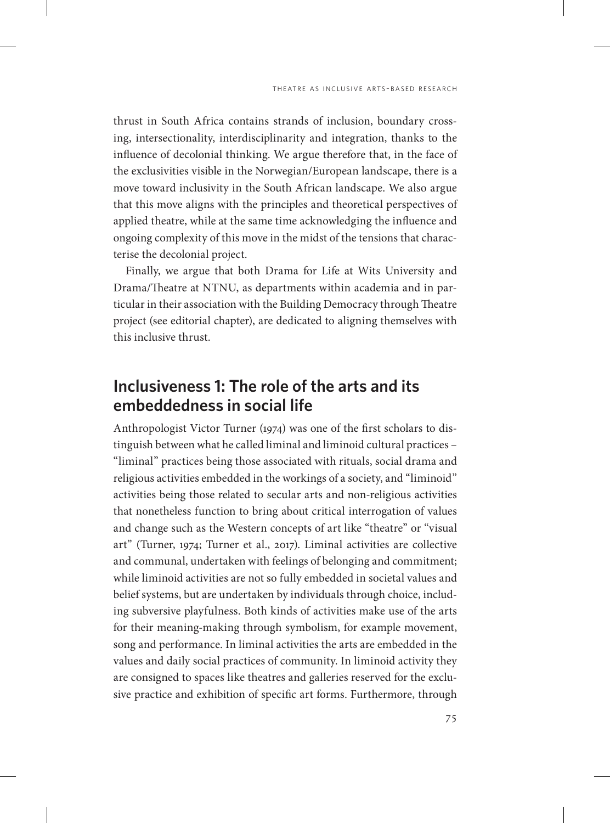thrust in South Africa contains strands of inclusion, boundary crossing, intersectionality, interdisciplinarity and integration, thanks to the influence of decolonial thinking. We argue therefore that, in the face of the exclusivities visible in the Norwegian/European landscape, there is a move toward inclusivity in the South African landscape. We also argue that this move aligns with the principles and theoretical perspectives of applied theatre, while at the same time acknowledging the influence and ongoing complexity of this move in the midst of the tensions that characterise the decolonial project.

Finally, we argue that both Drama for Life at Wits University and Drama/Theatre at NTNU, as departments within academia and in particular in their association with the Building Democracy through Theatre project (see editorial chapter), are dedicated to aligning themselves with this inclusive thrust.

## **Inclusiveness 1: The role of the arts and its embeddedness in social life**

Anthropologist Victor Turner (1974) was one of the first scholars to distinguish between what he called liminal and liminoid cultural practices – "liminal" practices being those associated with rituals, social drama and religious activities embedded in the workings of a society, and "liminoid" activities being those related to secular arts and non-religious activities that nonetheless function to bring about critical interrogation of values and change such as the Western concepts of art like "theatre" or "visual art" (Turner, 1974; Turner et al., 2017). Liminal activities are collective and communal, undertaken with feelings of belonging and commitment; while liminoid activities are not so fully embedded in societal values and belief systems, but are undertaken by individuals through choice, including subversive playfulness. Both kinds of activities make use of the arts for their meaning-making through symbolism, for example movement, song and performance. In liminal activities the arts are embedded in the values and daily social practices of community. In liminoid activity they are consigned to spaces like theatres and galleries reserved for the exclusive practice and exhibition of specific art forms. Furthermore, through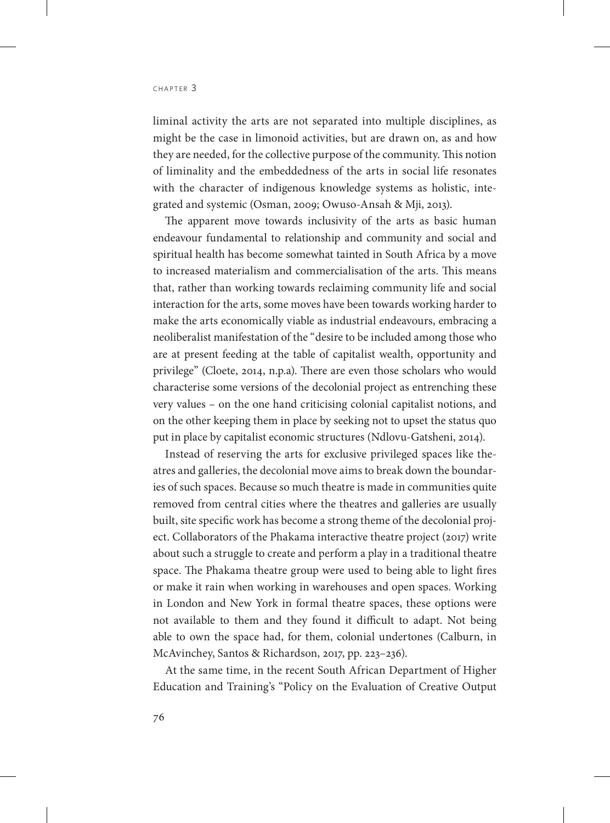liminal activity the arts are not separated into multiple disciplines, as might be the case in limonoid activities, but are drawn on, as and how they are needed, for the collective purpose of the community. This notion of liminality and the embeddedness of the arts in social life resonates with the character of indigenous knowledge systems as holistic, integrated and systemic (Osman, 2009; Owuso-Ansah & Mji, 2013).

The apparent move towards inclusivity of the arts as basic human endeavour fundamental to relationship and community and social and spiritual health has become somewhat tainted in South Africa by a move to increased materialism and commercialisation of the arts. This means that, rather than working towards reclaiming community life and social interaction for the arts, some moves have been towards working harder to make the arts economically viable as industrial endeavours, embracing a neoliberalist manifestation of the "desire to be included among those who are at present feeding at the table of capitalist wealth, opportunity and privilege" (Cloete, 2014, n.p.a). There are even those scholars who would characterise some versions of the decolonial project as entrenching these very values – on the one hand criticising colonial capitalist notions, and on the other keeping them in place by seeking not to upset the status quo put in place by capitalist economic structures (Ndlovu-Gatsheni, 2014).

Instead of reserving the arts for exclusive privileged spaces like theatres and galleries, the decolonial move aims to break down the boundaries of such spaces. Because so much theatre is made in communities quite removed from central cities where the theatres and galleries are usually built, site specific work has become a strong theme of the decolonial project. Collaborators of the Phakama interactive theatre project (2017) write about such a struggle to create and perform a play in a traditional theatre space. The Phakama theatre group were used to being able to light fires or make it rain when working in warehouses and open spaces. Working in London and New York in formal theatre spaces, these options were not available to them and they found it difficult to adapt. Not being able to own the space had, for them, colonial undertones (Calburn, in McAvinchey, Santos & Richardson, 2017, pp. 223–236).

At the same time, in the recent South African Department of Higher Education and Training's "Policy on the Evaluation of Creative Output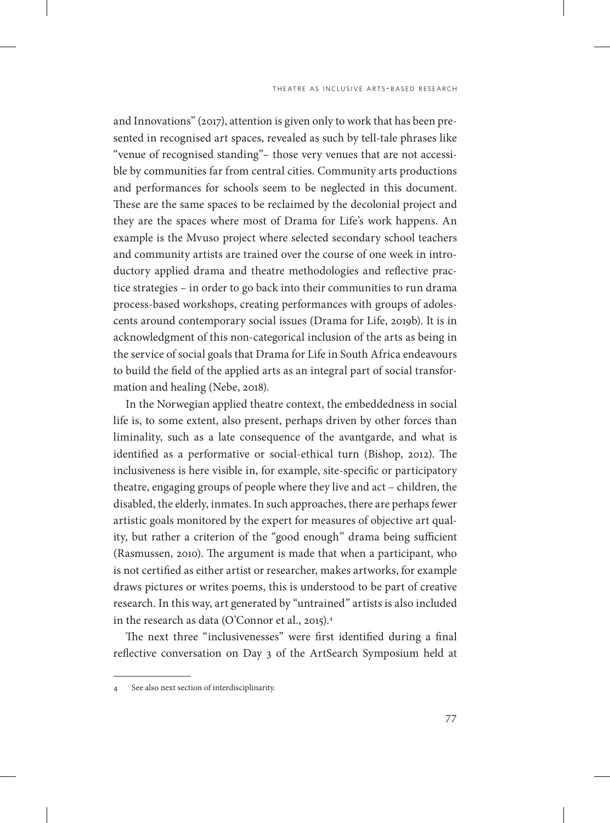and Innovations" (2017), attention is given only to work that has been presented in recognised art spaces, revealed as such by tell-tale phrases like "venue of recognised standing"– those very venues that are not accessible by communities far from central cities. Community arts productions and performances for schools seem to be neglected in this document. These are the same spaces to be reclaimed by the decolonial project and they are the spaces where most of Drama for Life's work happens. An example is the Mvuso project where selected secondary school teachers and community artists are trained over the course of one week in introductory applied drama and theatre methodologies and reflective practice strategies – in order to go back into their communities to run drama process-based workshops, creating performances with groups of adolescents around contemporary social issues (Drama for Life, 2019b). It is in acknowledgment of this non-categorical inclusion of the arts as being in the service of social goals that Drama for Life in South Africa endeavours to build the field of the applied arts as an integral part of social transformation and healing (Nebe, 2018).

In the Norwegian applied theatre context, the embeddedness in social life is, to some extent, also present, perhaps driven by other forces than liminality, such as a late consequence of the avantgarde, and what is identified as a performative or social-ethical turn (Bishop, 2012). The inclusiveness is here visible in, for example, site-specific or participatory theatre, engaging groups of people where they live and act – children, the disabled, the elderly, inmates. In such approaches, there are perhaps fewer artistic goals monitored by the expert for measures of objective art quality, but rather a criterion of the "good enough" drama being sufficient (Rasmussen, 2010). The argument is made that when a participant, who is not certified as either artist or researcher, makes artworks, for example draws pictures or writes poems, this is understood to be part of creative research. In this way, art generated by "untrained" artists is also included in the research as data (O'Connor et al., 2015).4

The next three "inclusivenesses" were first identified during a final reflective conversation on Day 3 of the ArtSearch Symposium held at

<sup>4</sup> See also next section of interdisciplinarity.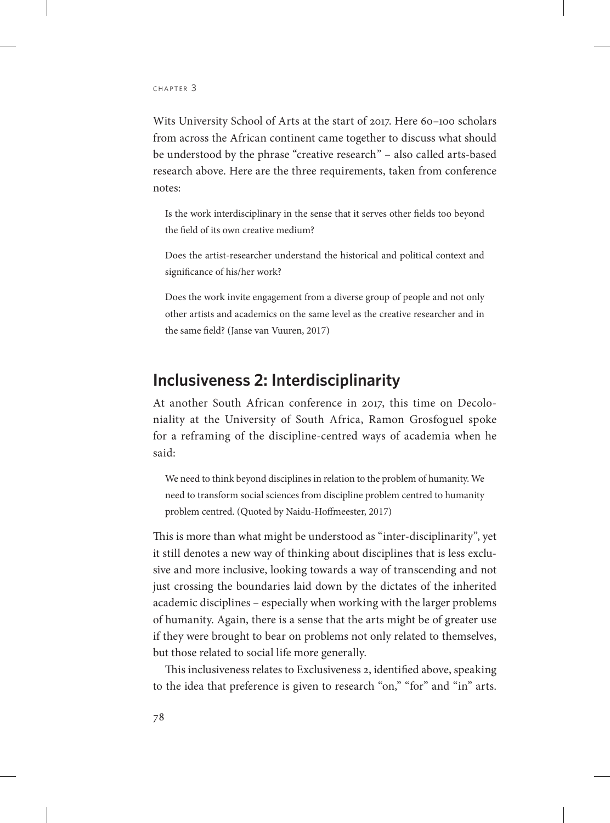Wits University School of Arts at the start of 2017. Here 60–100 scholars from across the African continent came together to discuss what should be understood by the phrase "creative research" – also called arts-based research above. Here are the three requirements, taken from conference notes:

Is the work interdisciplinary in the sense that it serves other fields too beyond the field of its own creative medium?

Does the artist-researcher understand the historical and political context and significance of his/her work?

Does the work invite engagement from a diverse group of people and not only other artists and academics on the same level as the creative researcher and in the same field? (Janse van Vuuren, 2017)

## **Inclusiveness 2: Interdisciplinarity**

At another South African conference in 2017, this time on Decoloniality at the University of South Africa, Ramon Grosfoguel spoke for a reframing of the discipline-centred ways of academia when he said:

We need to think beyond disciplines in relation to the problem of humanity. We need to transform social sciences from discipline problem centred to humanity problem centred. (Quoted by Naidu-Hoffmeester, 2017)

This is more than what might be understood as "inter-disciplinarity", yet it still denotes a new way of thinking about disciplines that is less exclusive and more inclusive, looking towards a way of transcending and not just crossing the boundaries laid down by the dictates of the inherited academic disciplines – especially when working with the larger problems of humanity. Again, there is a sense that the arts might be of greater use if they were brought to bear on problems not only related to themselves, but those related to social life more generally.

This inclusiveness relates to Exclusiveness 2, identified above, speaking to the idea that preference is given to research "on," "for" and "in" arts.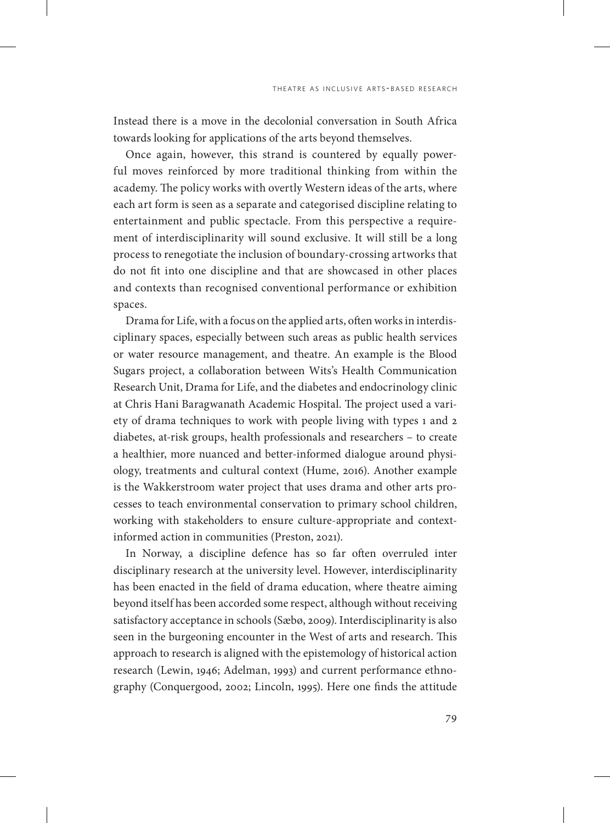Instead there is a move in the decolonial conversation in South Africa towards looking for applications of the arts beyond themselves.

Once again, however, this strand is countered by equally powerful moves reinforced by more traditional thinking from within the academy. The policy works with overtly Western ideas of the arts, where each art form is seen as a separate and categorised discipline relating to entertainment and public spectacle. From this perspective a requirement of interdisciplinarity will sound exclusive. It will still be a long process to renegotiate the inclusion of boundary-crossing artworks that do not fit into one discipline and that are showcased in other places and contexts than recognised conventional performance or exhibition spaces.

Drama for Life, with a focus on the applied arts, often works in interdisciplinary spaces, especially between such areas as public health services or water resource management, and theatre. An example is the Blood Sugars project, a collaboration between Wits's Health Communication Research Unit, Drama for Life, and the diabetes and endocrinology clinic at Chris Hani Baragwanath Academic Hospital. The project used a variety of drama techniques to work with people living with types 1 and 2 diabetes, at-risk groups, health professionals and researchers – to create a healthier, more nuanced and better-informed dialogue around physiology, treatments and cultural context (Hume, 2016). Another example is the Wakkerstroom water project that uses drama and other arts processes to teach environmental conservation to primary school children, working with stakeholders to ensure culture-appropriate and contextinformed action in communities (Preston, 2021).

In Norway, a discipline defence has so far often overruled inter disciplinary research at the university level. However, interdisciplinarity has been enacted in the field of drama education, where theatre aiming beyond itself has been accorded some respect, although without receiving satisfactory acceptance in schools (Sæbø, 2009). Interdisciplinarity is also seen in the burgeoning encounter in the West of arts and research. This approach to research is aligned with the epistemology of historical action research (Lewin, 1946; Adelman, 1993) and current performance ethnography (Conquergood, 2002; Lincoln, 1995). Here one finds the attitude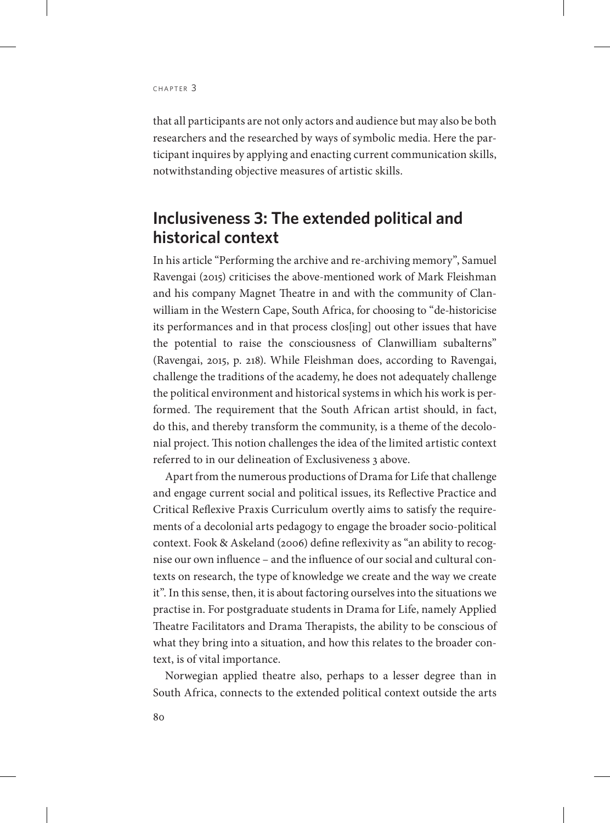that all participants are not only actors and audience but may also be both researchers and the researched by ways of symbolic media. Here the participant inquires by applying and enacting current communication skills, notwithstanding objective measures of artistic skills.

## **Inclusiveness 3: The extended political and historical context**

In his article "Performing the archive and re-archiving memory", Samuel Ravengai (2015) criticises the above-mentioned work of Mark Fleishman and his company Magnet Theatre in and with the community of Clanwilliam in the Western Cape, South Africa, for choosing to "de-historicise its performances and in that process clos[ing] out other issues that have the potential to raise the consciousness of Clanwilliam subalterns" (Ravengai, 2015, p. 218). While Fleishman does, according to Ravengai, challenge the traditions of the academy, he does not adequately challenge the political environment and historical systems in which his work is performed. The requirement that the South African artist should, in fact, do this, and thereby transform the community, is a theme of the decolonial project. This notion challenges the idea of the limited artistic context referred to in our delineation of Exclusiveness 3 above.

Apart from the numerous productions of Drama for Life that challenge and engage current social and political issues, its Reflective Practice and Critical Reflexive Praxis Curriculum overtly aims to satisfy the requirements of a decolonial arts pedagogy to engage the broader socio-political context. Fook & Askeland (2006) define reflexivity as "an ability to recognise our own influence – and the influence of our social and cultural contexts on research, the type of knowledge we create and the way we create it". In this sense, then, it is about factoring ourselves into the situations we practise in. For postgraduate students in Drama for Life, namely Applied Theatre Facilitators and Drama Therapists, the ability to be conscious of what they bring into a situation, and how this relates to the broader context, is of vital importance.

Norwegian applied theatre also, perhaps to a lesser degree than in South Africa, connects to the extended political context outside the arts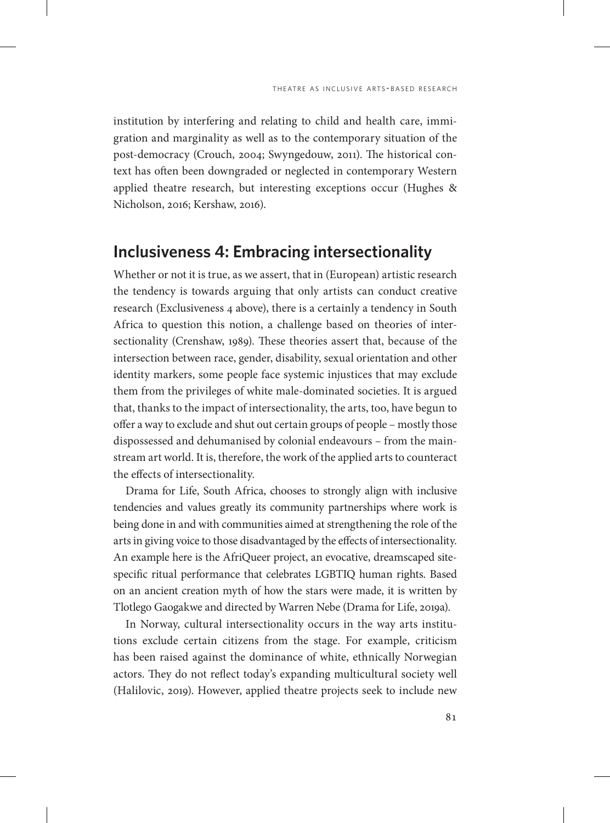institution by interfering and relating to child and health care, immigration and marginality as well as to the contemporary situation of the post-democracy (Crouch, 2004; Swyngedouw, 2011). The historical context has often been downgraded or neglected in contemporary Western applied theatre research, but interesting exceptions occur (Hughes & Nicholson, 2016; Kershaw, 2016).

#### **Inclusiveness 4: Embracing intersectionality**

Whether or not it is true, as we assert, that in (European) artistic research the tendency is towards arguing that only artists can conduct creative research (Exclusiveness 4 above), there is a certainly a tendency in South Africa to question this notion, a challenge based on theories of intersectionality (Crenshaw, 1989). These theories assert that, because of the intersection between race, gender, disability, sexual orientation and other identity markers, some people face systemic injustices that may exclude them from the privileges of white male-dominated societies. It is argued that, thanks to the impact of intersectionality, the arts, too, have begun to offer a way to exclude and shut out certain groups of people – mostly those dispossessed and dehumanised by colonial endeavours – from the mainstream art world. It is, therefore, the work of the applied arts to counteract the effects of intersectionality.

Drama for Life, South Africa, chooses to strongly align with inclusive tendencies and values greatly its community partnerships where work is being done in and with communities aimed at strengthening the role of the arts in giving voice to those disadvantaged by the effects of intersectionality. An example here is the AfriQueer project, an evocative, dreamscaped sitespecific ritual performance that celebrates LGBTIQ human rights. Based on an ancient creation myth of how the stars were made, it is written by Tlotlego Gaogakwe and directed by Warren Nebe (Drama for Life, 2019a).

In Norway, cultural intersectionality occurs in the way arts institutions exclude certain citizens from the stage. For example, criticism has been raised against the dominance of white, ethnically Norwegian actors. They do not reflect today's expanding multicultural society well (Halilovic, 2019). However, applied theatre projects seek to include new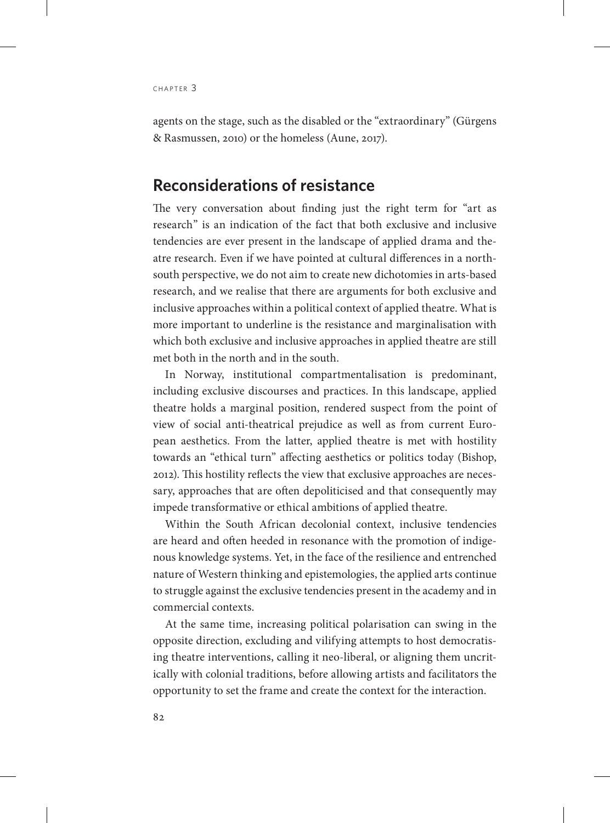agents on the stage, such as the disabled or the "extraordinary" (Gürgens & Rasmussen, 2010) or the homeless (Aune, 2017).

#### **Reconsiderations of resistance**

The very conversation about finding just the right term for "art as research" is an indication of the fact that both exclusive and inclusive tendencies are ever present in the landscape of applied drama and theatre research. Even if we have pointed at cultural differences in a northsouth perspective, we do not aim to create new dichotomies in arts-based research, and we realise that there are arguments for both exclusive and inclusive approaches within a political context of applied theatre. What is more important to underline is the resistance and marginalisation with which both exclusive and inclusive approaches in applied theatre are still met both in the north and in the south.

In Norway, institutional compartmentalisation is predominant, including exclusive discourses and practices. In this landscape, applied theatre holds a marginal position, rendered suspect from the point of view of social anti-theatrical prejudice as well as from current European aesthetics. From the latter, applied theatre is met with hostility towards an "ethical turn" affecting aesthetics or politics today (Bishop, 2012). This hostility reflects the view that exclusive approaches are necessary, approaches that are often depoliticised and that consequently may impede transformative or ethical ambitions of applied theatre.

Within the South African decolonial context, inclusive tendencies are heard and often heeded in resonance with the promotion of indigenous knowledge systems. Yet, in the face of the resilience and entrenched nature of Western thinking and epistemologies, the applied arts continue to struggle against the exclusive tendencies present in the academy and in commercial contexts.

At the same time, increasing political polarisation can swing in the opposite direction, excluding and vilifying attempts to host democratising theatre interventions, calling it neo-liberal, or aligning them uncritically with colonial traditions, before allowing artists and facilitators the opportunity to set the frame and create the context for the interaction.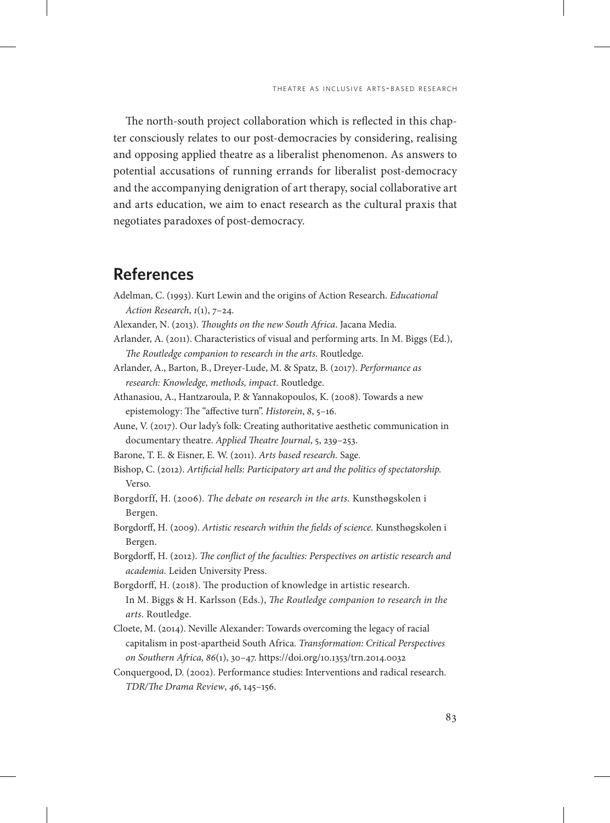The north-south project collaboration which is reflected in this chapter consciously relates to our post-democracies by considering, realising and opposing applied theatre as a liberalist phenomenon. As answers to potential accusations of running errands for liberalist post-democracy and the accompanying denigration of art therapy, social collaborative art and arts education, we aim to enact research as the cultural praxis that negotiates paradoxes of post-democracy.

# **References**

- Adelman, C. (1993). Kurt Lewin and the origins of Action Research. *Educational Action Research*, *1*(1), 7–24.
- Alexander, N. (2013). *Thoughts on the new South Africa*. Jacana Media.
- Arlander, A. (2011). Characteristics of visual and performing arts. In M. Biggs (Ed.), *The Routledge companion to research in the arts*. Routledge.
- Arlander, A., Barton, B., Dreyer-Lude, M. & Spatz, B. (2017). *Performance as research: Knowledge, methods, impact*. Routledge.
- Athanasiou, A., Hantzaroula, P. & Yannakopoulos, K. (2008). Towards a new epistemology: The "affective turn". *Historein*, *8*, 5–16.
- Aune, V. (2017). Our lady's folk: Creating authoritative aesthetic communication in documentary theatre. *Applied Theatre Journal*, 5, 239–253.
- Barone, T. E. & Eisner, E. W. (2011). *Arts based research.* Sage.
- Bishop, C. (2012). *Artificial hells: Participatory art and the politics of spectatorship.*  Verso.
- Borgdorff, H. (2006). *The debate on research in the arts.* Kunsthøgskolen i Bergen.
- Borgdorff, H. (2009). *Artistic research within the fields of science.* Kunsthøgskolen i Bergen.
- Borgdorff, H. (2012). *The conflict of the faculties: Perspectives on artistic research and academia.* Leiden University Press.
- Borgdorff, H. (2018). The production of knowledge in artistic research. In M. Biggs & H. Karlsson (Eds.), *The Routledge companion to research in the arts*. Routledge.
- Cloete, M. (2014). Neville Alexander: Towards overcoming the legacy of racial capitalism in post-apartheid South Africa. *Transformation: Critical Perspectives on Southern Africa, 86*(1), 30–47. https://doi.org/10.1353/trn.2014.0032
- Conquergood, D. (2002). Performance studies: Interventions and radical research. *TDR/The Drama Review*, *46*, 145–156.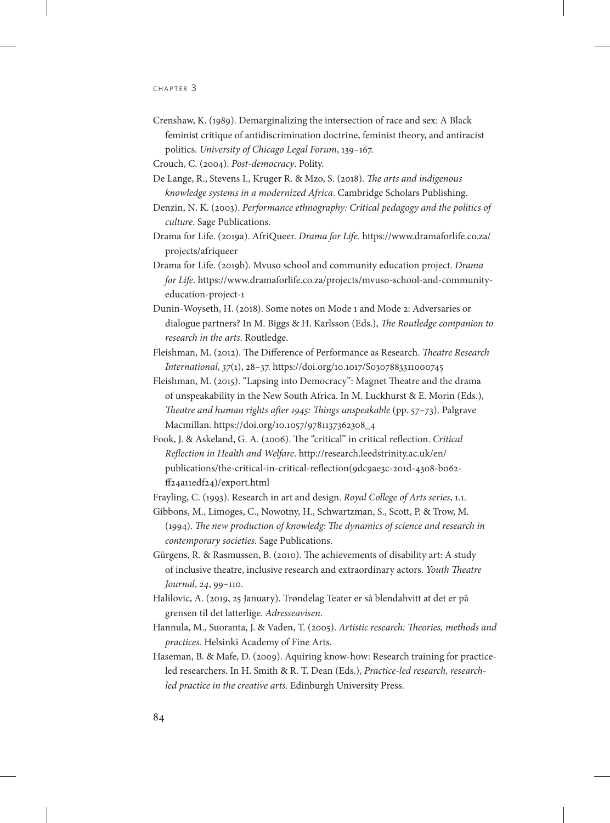- Crenshaw, K. (1989). Demarginalizing the intersection of race and sex: A Black feminist critique of antidiscrimination doctrine, feminist theory, and antiracist politics. *University of Chicago Legal Forum*, 139–167.
- Crouch, C. (2004). *Post-democracy*. Polity.
- De Lange, R., Stevens I., Kruger R. & Mzo, S. (2018). *The arts and indigenous knowledge systems in a modernized Africa*. Cambridge Scholars Publishing.
- Denzin, N. K. (2003). *Performance ethnography: Critical pedagogy and the politics of culture*. Sage Publications.
- Drama for Life. (2019a). AfriQueer. *Drama for Life.* [https://www.dramaforlife.co.za/](https://www.dramaforlife.co.za/projects/afriqueer) [projects/afriqueer](https://www.dramaforlife.co.za/projects/afriqueer)
- Drama for Life. (2019b). Mvuso school and community education project. *Drama for Life*. https://www.dramaforlife.co.za/projects/mvuso-school-and-communityeducation-project-1
- Dunin-Woyseth, H. (2018). Some notes on Mode 1 and Mode 2: Adversaries or dialogue partners? In M. Biggs & H. Karlsson (Eds.), *The Routledge companion to research in the arts*. Routledge.
- Fleishman, M. (2012). The Difference of Performance as Research. *Theatre Research International*, *37*(1), 28–37. https://doi.org/10.1017/S0307883311000745
- Fleishman, M. (2015). "Lapsing into Democracy": Magnet Theatre and the drama of unspeakability in the New South Africa. In M. Luckhurst & E. Morin (Eds.), *Theatre and human rights after 1945: Things unspeakable* (pp. 57–73). Palgrave Macmillan. https://doi.org/10.1057/9781137362308\_4
- Fook, J. & Askeland, G. A. (2006). The "critical" in critical reflection. *Critical Reflection in Health and Welfare*. [http://research.leedstrinity.ac.uk/en/](http://research.leedstrinity.ac.uk/en/publications/the-critical-in-critical-reflection(9dc9ae3c-201d-4308-b062-ff24a11edf24)/export.html) [publications/the-critical-in-critical-reflection\(9dc9ae3c-201d-4308-b062](http://research.leedstrinity.ac.uk/en/publications/the-critical-in-critical-reflection(9dc9ae3c-201d-4308-b062-ff24a11edf24)/export.html) [ff24a11edf24\)/export.html](http://research.leedstrinity.ac.uk/en/publications/the-critical-in-critical-reflection(9dc9ae3c-201d-4308-b062-ff24a11edf24)/export.html)

Frayling, C. (1993). Research in art and design. *Royal College of Arts series*, 1.1.

- Gibbons, M., Limoges, C., Nowotny, H., Schwartzman, S., Scott, P. & Trow, M. (1994). *The new production of knowledg: The dynamics of science and research in contemporary societies.* Sage Publications.
- Gürgens, R. & Rasmussen, B. (2010). The achievements of disability art: A study of inclusive theatre, inclusive research and extraordinary actors. *Youth Theatre Journal*, *24*, 99–110.
- Halilovic, A. (2019, 25 January). Trøndelag Teater er så blendahvitt at det er på grensen til det latterlige. *Adresseavisen*.
- Hannula, M., Suoranta, J. & Vaden, T. (2005). *Artistic research: Theories, methods and practices.* Helsinki Academy of Fine Arts.
- Haseman, B. & Mafe, D. (2009). Aquiring know-how: Research training for practiceled researchers. In H. Smith & R. T. Dean (Eds.), *Practice-led research, researchled practice in the creative arts*. Edinburgh University Press.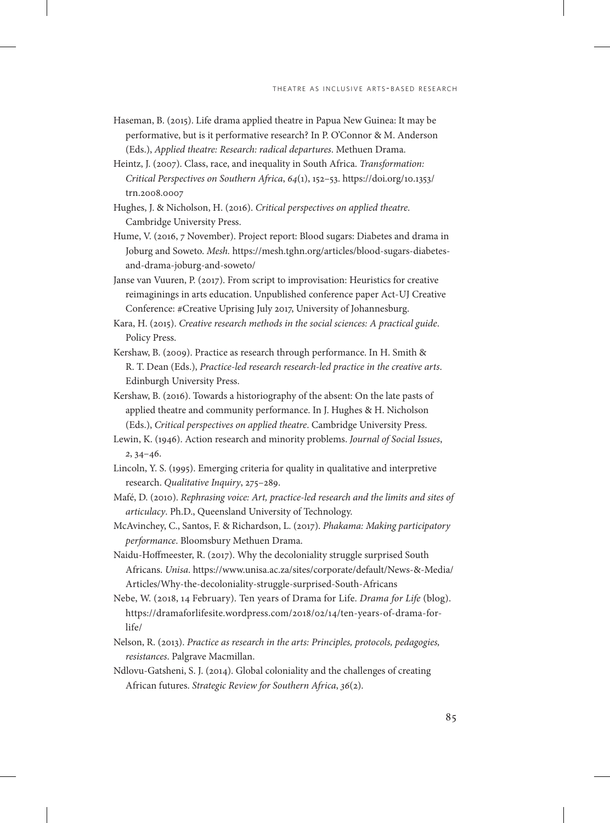- Haseman, B. (2015). Life drama applied theatre in Papua New Guinea: It may be performative, but is it performative research? In P. O'Connor & M. Anderson (Eds.), *Applied theatre: Research: radical departures*. Methuen Drama.
- Heintz, J. (2007). Class, race, and inequality in South Africa. *Transformation: Critical Perspectives on Southern Africa*, *64*(1), 152–53. [https://doi.org/10.1353/](https://doi.org/10.1353/trn.2008.0007) [trn.2008.0007](https://doi.org/10.1353/trn.2008.0007)
- Hughes, J. & Nicholson, H. (2016). *Critical perspectives on applied theatre*. Cambridge University Press.
- Hume, V. (2016, 7 November). Project report: Blood sugars: Diabetes and drama in Joburg and Soweto. *Mesh.* https://mesh.tghn.org/articles/blood-sugars-diabetesand-drama-joburg-and-soweto/
- Janse van Vuuren, P. (2017). From script to improvisation: Heuristics for creative reimaginings in arts education. Unpublished conference paper Act-UJ Creative Conference: #Creative Uprising July 2017, University of Johannesburg.
- Kara, H. (2015). *Creative research methods in the social sciences: A practical guide*. Policy Press.
- Kershaw, B. (2009). Practice as research through performance. In H. Smith & R. T. Dean (Eds.), *Practice-led research research-led practice in the creative arts*. Edinburgh University Press.
- Kershaw, B. (2016). Towards a historiography of the absent: On the late pasts of applied theatre and community performance. In J. Hughes & H. Nicholson (Eds.), *Critical perspectives on applied theatre*. Cambridge University Press.
- Lewin, K. (1946). Action research and minority problems. *Journal of Social Issues*, *2*, 34–46.
- Lincoln, Y. S. (1995). Emerging criteria for quality in qualitative and interpretive research. *Qualitative Inquiry*, 275–289.
- Mafé, D. (2010). *Rephrasing voice: Art, practice-led research and the limits and sites of articulacy*. Ph.D., Queensland University of Technology.
- McAvinchey, C., Santos, F. & Richardson, L. (2017). *Phakama: Making participatory performance*. Bloomsbury Methuen Drama.
- Naidu-Hoffmeester, R. (2017). Why the decoloniality struggle surprised South Africans. *Unisa*. [https://www.unisa.ac.za/sites/corporate/default/News-&-Media/](https://www.unisa.ac.za/sites/corporate/default/News-&-Media/Articles/Why-the-decoloniality-struggle-surprised-South-Africans) [Articles/Why-the-decoloniality-struggle-surprised-South-Africans](https://www.unisa.ac.za/sites/corporate/default/News-&-Media/Articles/Why-the-decoloniality-struggle-surprised-South-Africans)
- Nebe, W. (2018, 14 February). Ten years of Drama for Life. *Drama for Life* (blog). https://dramaforlifesite.wordpress.com/2018/02/14/ten-years-of-drama-forlife/
- Nelson, R. (2013). *Practice as research in the arts: Principles, protocols, pedagogies, resistances*. Palgrave Macmillan.
- Ndlovu-Gatsheni, S. J. (2014). Global coloniality and the challenges of creating African futures. *Strategic Review for Southern Africa*, *36*(2).